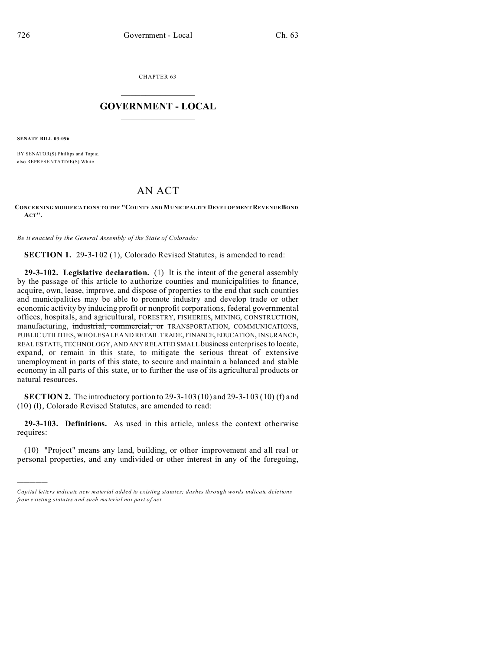CHAPTER 63  $\overline{\phantom{a}}$  , where  $\overline{\phantom{a}}$ 

## **GOVERNMENT - LOCAL**  $\_$   $\_$

**SENATE BILL 03-096**

)))))

BY SENATOR(S) Phillips and Tapia; also REPRESENTATIVE(S) White.

## AN ACT

## **CONCERNING MODIFICATIONS TO THE "COUNTY AND MUNICIPALITY DEVELOP MEN T REVENUE BOND ACT".**

*Be it enacted by the General Assembly of the State of Colorado:*

**SECTION 1.** 29-3-102 (1), Colorado Revised Statutes, is amended to read:

**29-3-102. Legislative declaration.** (1) It is the intent of the general assembly by the passage of this article to authorize counties and municipalities to finance, acquire, own, lease, improve, and dispose of properties to the end that such counties and municipalities may be able to promote industry and develop trade or other economic activity by inducing profit or nonprofit corporations, federal governmental offices, hospitals, and agricultural, FORESTRY, FISHERIES, MINING, CONSTRUCTION, manufacturing, industrial, commercial, or TRANSPORTATION, COMMUNICATIONS, PUBLIC UTILITIES, WHOLESALE AND RETAIL TRADE, FINANCE, EDUCATION, INSURANCE, REAL ESTATE, TECHNOLOGY, AND ANY RELATED SMALL business enterprises to locate, expand, or remain in this state, to mitigate the serious threat of extensive unemployment in parts of this state, to secure and maintain a balanced and stable economy in all parts of this state, or to further the use of its agricultural products or natural resources.

**SECTION 2.** The introductory portion to 29-3-103 (10) and 29-3-103 (10) (f) and (10) (l), Colorado Revised Statutes, are amended to read:

**29-3-103. Definitions.** As used in this article, unless the context otherwise requires:

(10) "Project" means any land, building, or other improvement and all real or personal properties, and any undivided or other interest in any of the foregoing,

*Capital letters indicate new material added to existing statutes; dashes through words indicate deletions from e xistin g statu tes a nd such ma teria l no t pa rt of ac t.*